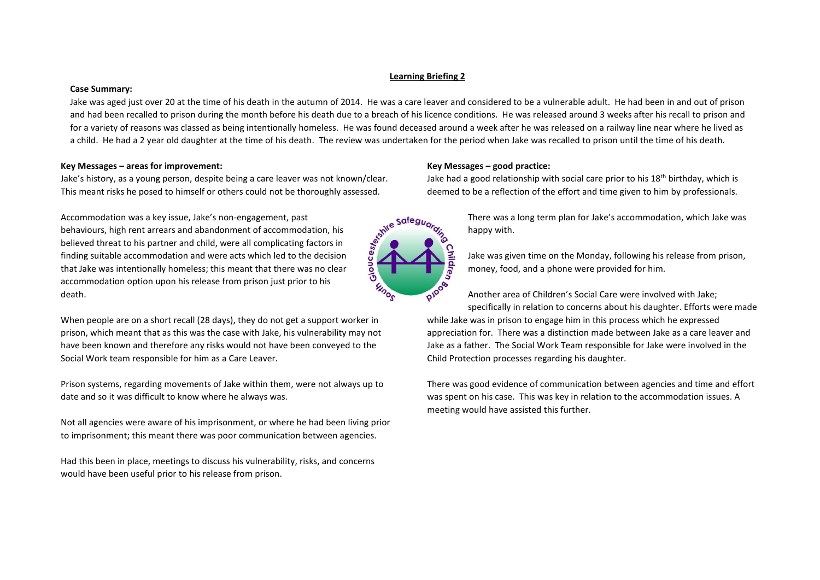# **Learning Briefing 2**

## **Case Summary:**

Jake was aged just over 20 at the time of his death in the autumn of 2014. He was a care leaver and considered to be a vulnerable adult. He had been in and out of prison and had been recalled to prison during the month before his death due to a breach of his licence conditions. He was released around 3 weeks after his recall to prison and for a variety of reasons was classed as being intentionally homeless. He was found deceased around a week after he was released on a railway line near where he lived as a child. He had a 2 year old daughter at the time of his death. The review was undertaken for the period when Jake was recalled to prison until the time of his death.

# **Key Messages – areas for improvement:**

Jake's history, as a young person, despite being a care leaver was not known/clear. This meant risks he posed to himself or others could not be thoroughly assessed.

Accommodation was a key issue, Jake's non-engagement, past behaviours, high rent arrears and abandonment of accommodation, his believed threat to his partner and child, were all complicating factors in finding suitable accommodation and were acts which led to the decision that Jake was intentionally homeless; this meant that there was no clear accommodation option upon his release from prison just prior to his death.

When people are on a short recall (28 days), they do not get a support worker in prison, which meant that as this was the case with Jake, his vulnerability may not have been known and therefore any risks would not have been conveyed to the Social Work team responsible for him as a Care Leaver.

Prison systems, regarding movements of Jake within them, were not always up to date and so it was difficult to know where he always was.

Not all agencies were aware of his imprisonment, or where he had been living prior to imprisonment; this meant there was poor communication between agencies.

Had this been in place, meetings to discuss his vulnerability, risks, and concerns would have been useful prior to his release from prison.

# **Key Messages – good practice:**

Jake had a good relationship with social care prior to his 18<sup>th</sup> birthday, which is deemed to be a reflection of the effort and time given to him by professionals.



There was a long term plan for Jake's accommodation, which Jake was happy with.

Jake was given time on the Monday, following his release from prison, money, food, and a phone were provided for him.

Another area of Children's Social Care were involved with Jake; specifically in relation to concerns about his daughter. Efforts were made while Jake was in prison to engage him in this process which he expressed appreciation for. There was a distinction made between Jake as a care leaver and Jake as a father. The Social Work Team responsible for Jake were involved in the Child Protection processes regarding his daughter.

There was good evidence of communication between agencies and time and effort was spent on his case. This was key in relation to the accommodation issues. A meeting would have assisted this further.